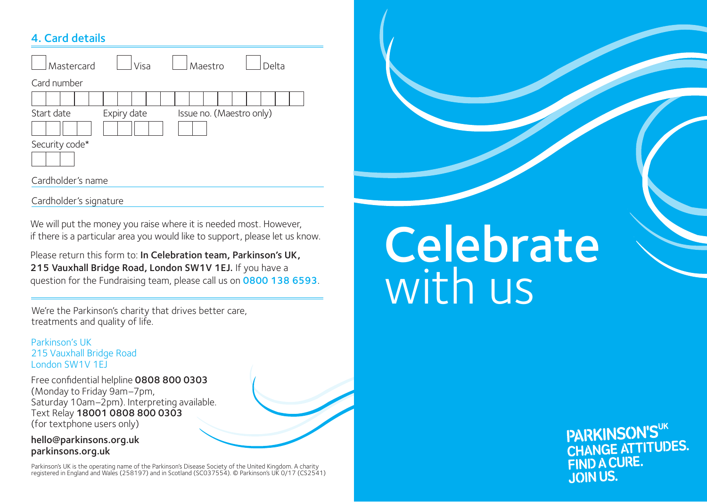## 4. Card details

| Mastercard        | Visa        | Maestro                  | Delta |
|-------------------|-------------|--------------------------|-------|
| Card number       |             |                          |       |
|                   |             |                          |       |
| Start date        | Expiry date | Issue no. (Maestro only) |       |
| Security code*    |             |                          |       |
| Cardholder's name |             |                          |       |

Cardholder's signature

We will put the money you raise where it is needed most. However, if there is a particular area you would like to support, please let us know.

Please return this form to: In Celebration team, Parkinson's UK, 215 Vauxhall Bridge Road, London SW1V 1EJ. If you have a question for the Fundraising team, please call us on 0800 138 6593.

We're the Parkinson's charity that drives better care, treatments and quality of life.

Parkinson's UK 215 Vauxhall Bridge Road London SW1V 1EJ

Free confidential helpline 0808 800 0303 (Monday to Friday 9am–7pm, Saturday 10am–2pm). Interpreting available. Text Relay 18001 0808 800 0303 (for textphone users only)

hello@parkinsons.org.uk parkinsons.org.uk

Parkinson's UK is the operating name of the Parkinson's Disease Society of the United Kingdom. A charity registered in England and Wales (258197) and in Scotland (SC037554). © Parkinson's UK 0/17 (CS2541)

## **Celebrate** with us

PARKINSON'SUK CHANGE ATTITUDES. FIND A CURE. **JOIN US.**